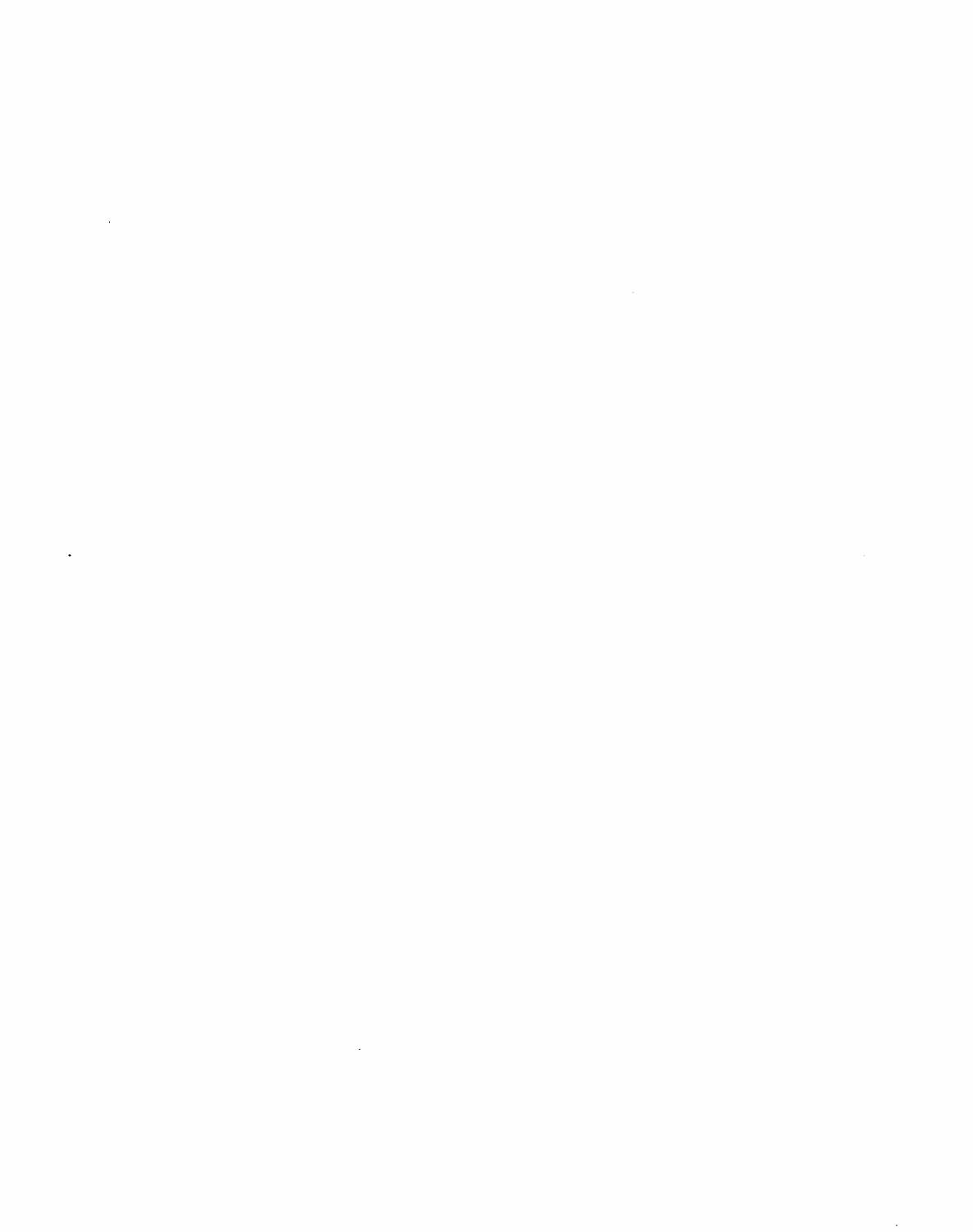$\label{eq:2.1} \mathcal{L}(\mathcal{L}^{\text{max}}_{\mathcal{L}}(\mathcal{L}^{\text{max}}_{\mathcal{L}})) \leq \mathcal{L}(\mathcal{L}^{\text{max}}_{\mathcal{L}}(\mathcal{L}^{\text{max}}_{\mathcal{L}}))$ 

 $\Delta \sim 10^{11}$  m  $^{-1}$ 

 $\label{eq:2.1} \frac{1}{\sqrt{2}}\int_{\mathbb{R}^3}\frac{1}{\sqrt{2}}\left(\frac{1}{\sqrt{2}}\right)^2\frac{1}{\sqrt{2}}\left(\frac{1}{\sqrt{2}}\right)^2\frac{1}{\sqrt{2}}\left(\frac{1}{\sqrt{2}}\right)^2\frac{1}{\sqrt{2}}\left(\frac{1}{\sqrt{2}}\right)^2.$ 

 $\label{eq:2.1} \frac{1}{\sqrt{2}}\int_{\mathbb{R}^3}\frac{1}{\sqrt{2}}\left(\frac{1}{\sqrt{2}}\right)^2\frac{1}{\sqrt{2}}\left(\frac{1}{\sqrt{2}}\right)^2\frac{1}{\sqrt{2}}\left(\frac{1}{\sqrt{2}}\right)^2\frac{1}{\sqrt{2}}\left(\frac{1}{\sqrt{2}}\right)^2.$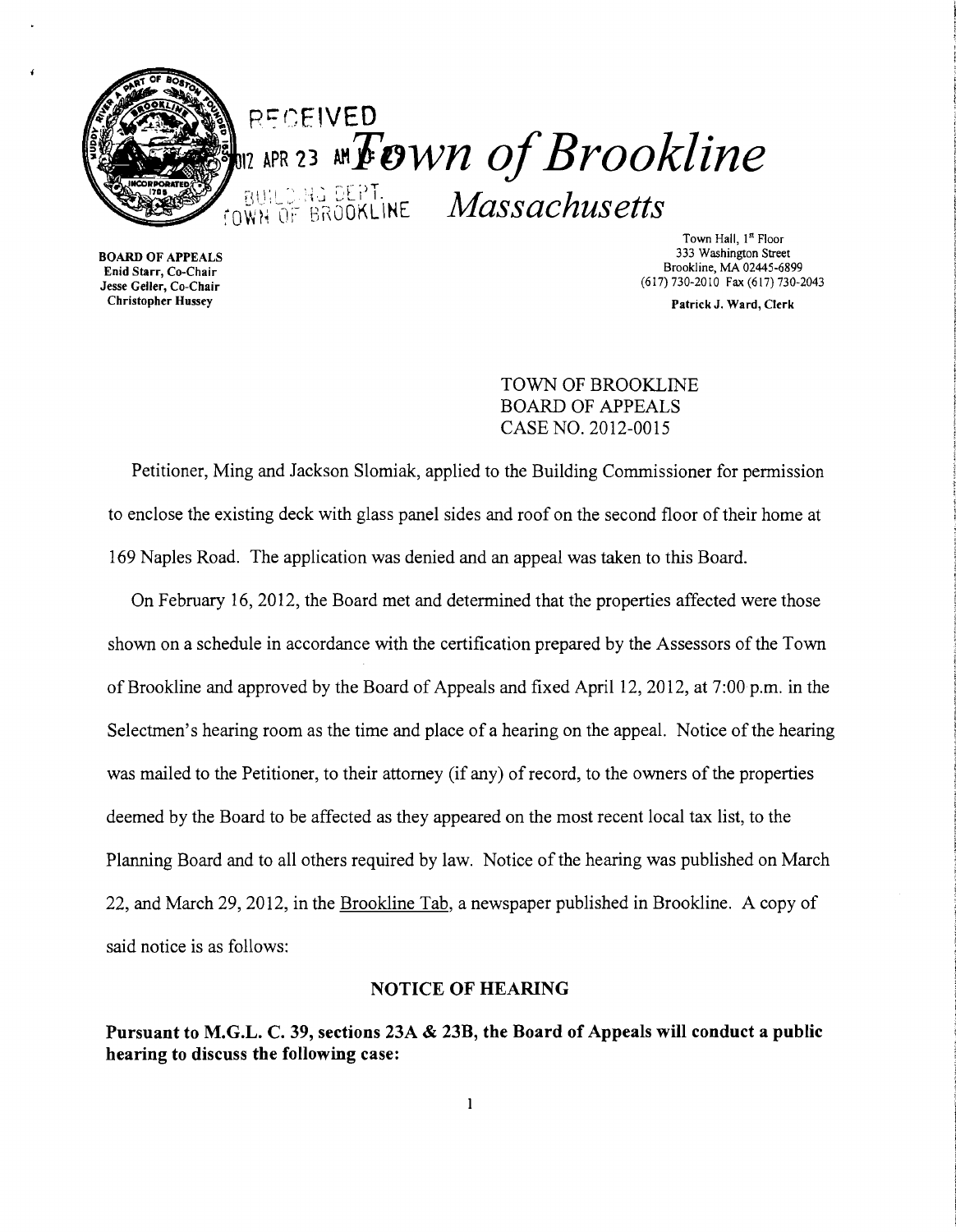

Rr:CEIVED  $\overline{a}$ **RELEIVED** WE DWN of Brookline **TABULDAN DEPT.**<br>FOWN OF BROOKLINE Massachusetts

BOARD OF APPEALS Enid Starr, Co-Chair Jesse Geller, Co-Chair Christopher Hussey

Town Hall, 1<sup>st</sup> Floor 333 Washington Street Brookline, MA 02445-6899 (617) 730-2010 Fax (617) 730-2043

Patrick J. Ward, Clerk

# TOWN OF BROOKLINE BOARD OF APPEALS CASE NO. 2012-0015

Petitioner, Ming and Jackson Slomiak, applied to the Building Commissioner for permission to enclose the existing deck with glass panel sides and roof on the second floor of their home at 169 Naples Road. The application was denied and an appeal was taken to this Board.

On February 16,2012, the Board met and determined that the properties affected were those shown on a schedule in accordance with the certification prepared by the Assessors of the Town of Brookline and approved by the Board of Appeals and fixed April 12, 2012, at 7:00p.m. in the Selectmen's hearing room as the time and place of a hearing on the appeal. Notice of the hearing was mailed to the Petitioner, to their attorney (if any) of record, to the owners of the properties deemed by the Board to be affected as they appeared on the most recent local tax list, to the Planning Board and to all others required by law. Notice of the hearing was published on March 22, and March 29,2012, in the Brookline Tab, a newspaper published in Brookline. A copy of said notice is as follows:

### NOTICE OF HEARING

Pursuant to M.G.L. C. 39, sections 23A & 23B, the Board of Appeals will conduct a public hearing to discuss the following case:

 $\mathbf{1}$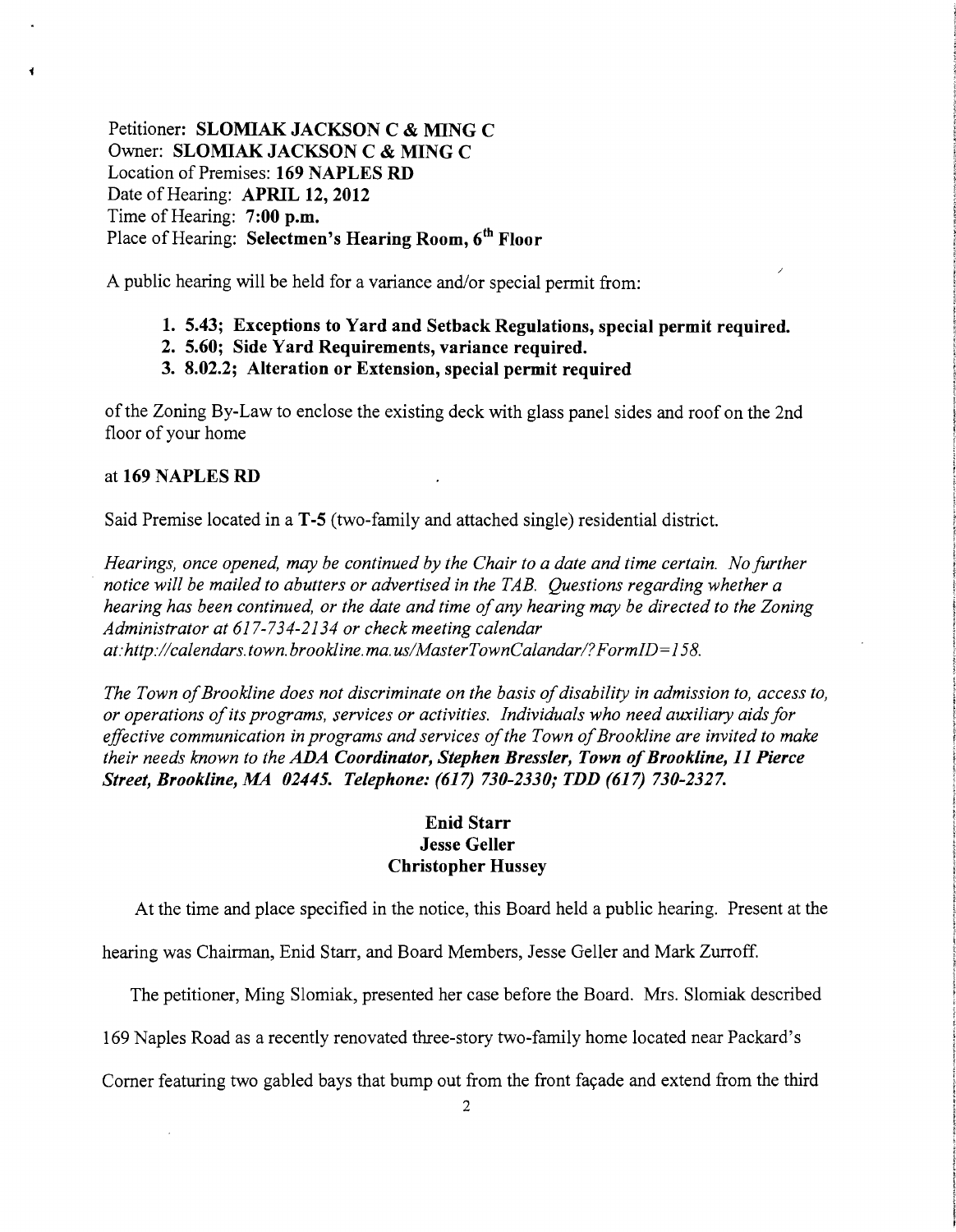Petitioner: **SLOMIAK JACKSON C & MING C**  Owner: **SLOMIAK JACKSON C & MING C**  Location of Premises: **169 NAPLES RD**  Date of Hearing: **APRIL 12, 2012**  Time of Hearing: **7:00 p.m.**  Place of Hearing: **Selectmen's Hearing Room, 6th Floor** 

A public hearing will be held for a variance and/or special permit from:

- **1. 5.43; Exceptions to Yard and Setback Regulations, special permit required.**
- **2. 5.60; Side Yard Requirements, variance required.**

# **3. 8.02.2; Alteration or Extension, special permit required**

ofthe Zoning By-Law to enclose the existing deck with glass panel sides and roof on the 2nd floor of your home

#### at **169 NAPLES RD**

Said Premise located in a **T-5** (two-family and attached single) residential district.

*Hearings, once opened, may be continued by the Chair to a date and time certain. No further notice will be mailed to abutters or advertised in the TAB. Questions regarding whether a hearing has been continued, or the date and time ofany hearing may be directed to the Zoning Administrator at* 617-734-2134 *or check meeting calendar at:http://calendars. town. brookline. ma. uslMasterTownCalandarl?FormID=158.* 

The Town of Brookline does not discriminate on the basis of disability in admission to, access to, *or operations ofits programs, services or activities. Individuals who need auxiliary aids for*  effective communication in programs and services of the Town of Brookline are invited to make *their needs known to the ADA Coordinator, Stephen Bressler, Town ofBrookline,* **11** *Pierce Street, Brookline, MA 02445. Telephone:* **(617)** *730-2330,. TDD* **(617)** *730-2327.* 

# **Enid Starr Jesse Geller Christopher Hussey**

At the time and place specified in the notice, this Board held a public hearing. Present at the

hearing was Chairman, Enid Starr, and Board Members, Jesse Geller and Mark Zurroff.

The petitioner, Ming Slomiak, presented her case before the Board. Mrs. Slomiak described

169 Naples Road as a recently renovated three-story two-family home located near Packard's

Corner featuring two gabled bays that bump out from the front façade and extend from the third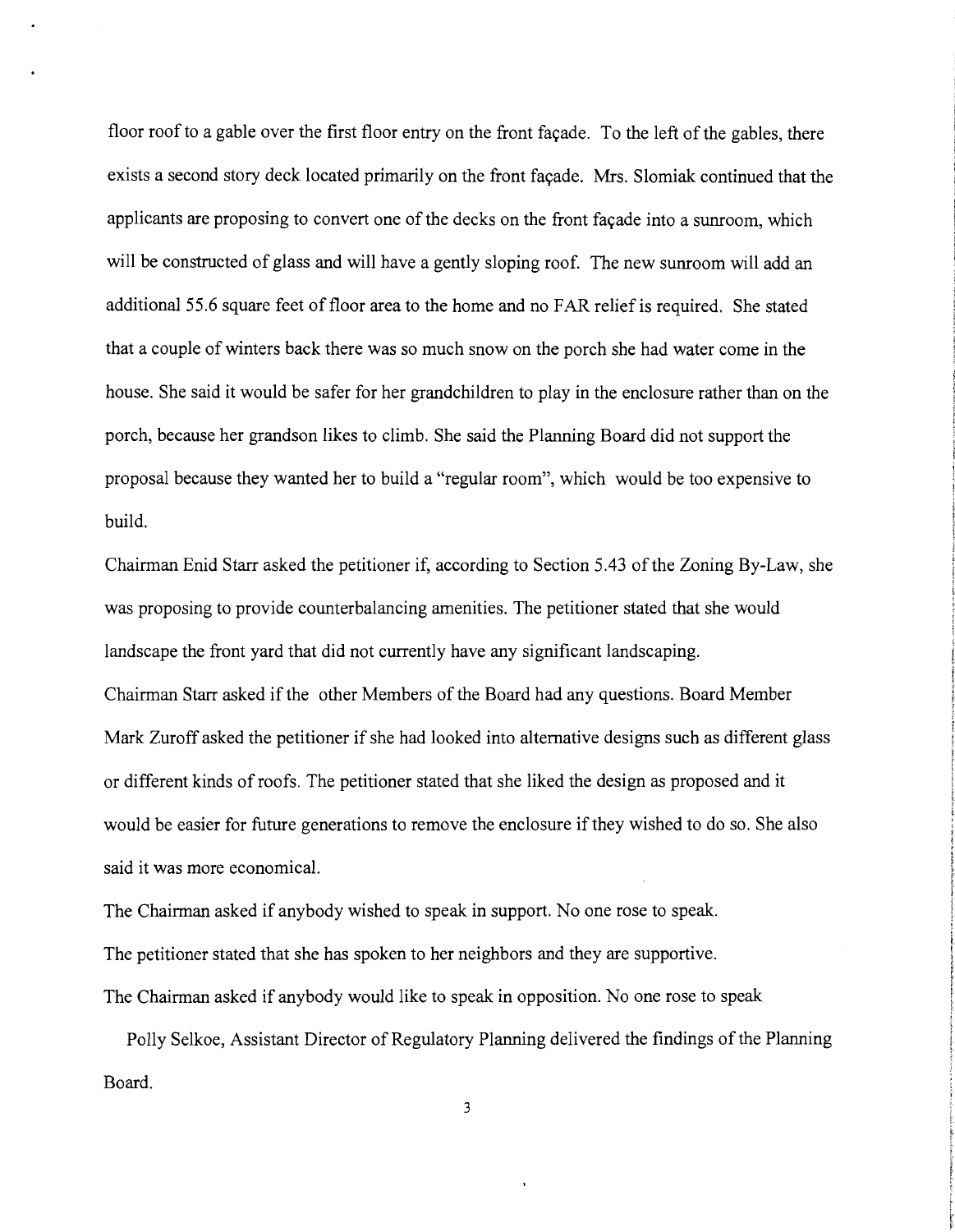floor roof to a gable over the first floor entry on the front façade. To the left of the gables, there exists a second story deck located primarily on the front façade. Mrs. Slomiak continued that the applicants are proposing to convert one of the decks on the front facade into a sunroom, which will be constructed of glass and will have a gently sloping roof. The new sunroom will add an additional 55.6 square feet of floor area to the home and no FAR relief is required. She stated that a couple of winters back there was so much snow on the porch she had water come in the house. She said it would be safer for her grandchildren to play in the enclosure rather than on the porch, because her grandson likes to climb. She said the Planning Board did not support the proposal because they wanted her to build a "regular room", which would be too expensive to build.

Chairman Enid Starr asked the petitioner if, according to Section 5.43 ofthe Zoning By-Law, she was proposing to provide counterbalancing amenities. The petitioner stated that she would landscape the front yard that did not currently have any significant landscaping. Chairman Starr asked if the other Members of the Board had any questions. Board Member Mark Zuroff asked the petitioner if she had looked into alternative designs such as different glass or different kinds of roofs. The petitioner stated that she liked the design as proposed and it would be easier for future generations to remove the enclosure if they wished to do so. She also said it was more economical.

The Chairman asked if anybody wished to speak in support. No one rose to speak. The petitioner stated that she has spoken to her neighbors and they are supportive. The Chairman asked if anybody would like to speak in opposition. No one rose to speak

Polly Selkoe, Assistant Director of Regulatory Planning delivered the findings of the Planning Board.

3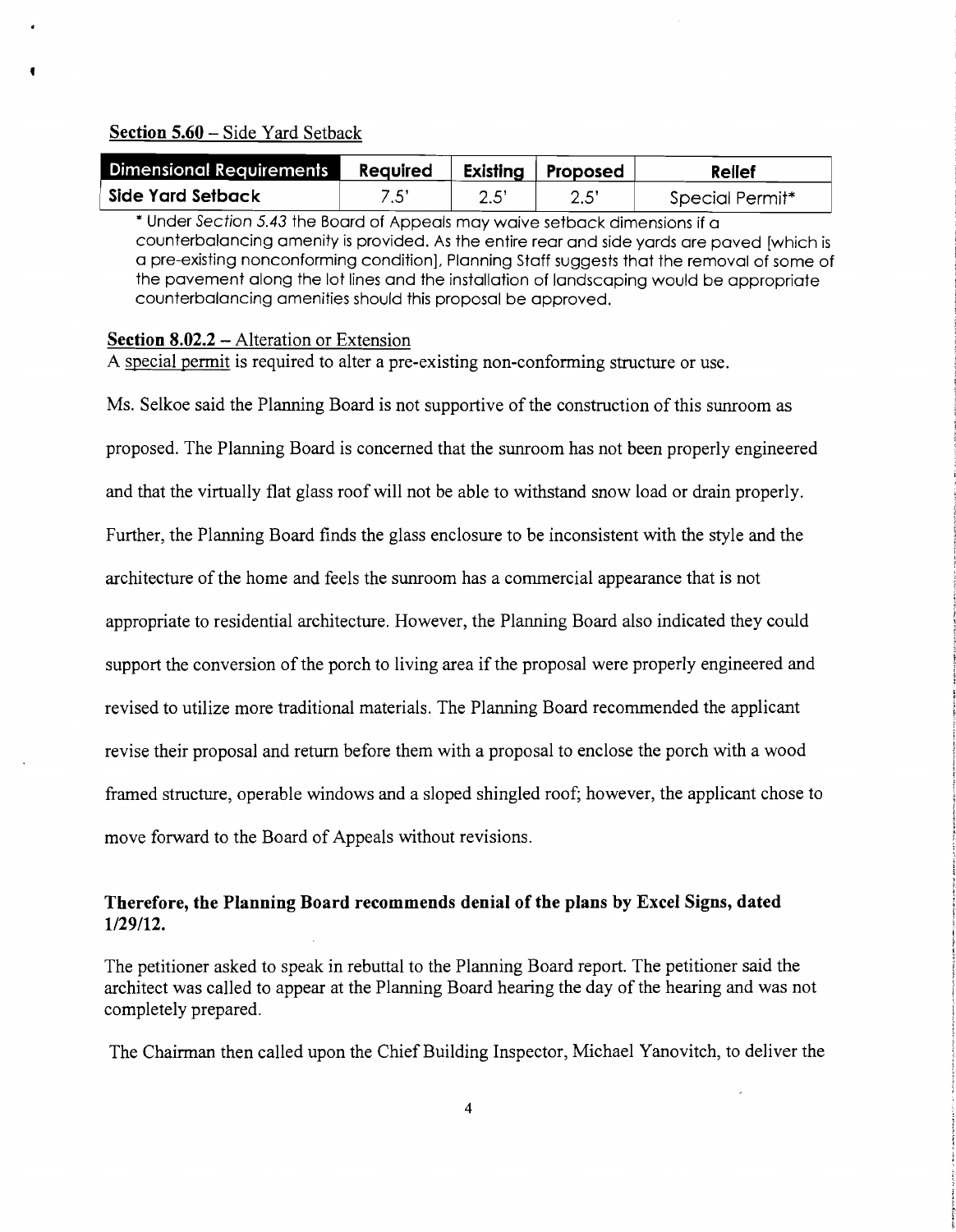**Section 5.60 – Side Yard Setback** 

| Dimensional Requirements | Required | Existing   Proposed | <b>Relief</b>   |
|--------------------------|----------|---------------------|-----------------|
| Side Yard Setback        |          | $2.5^{\circ}$       | Special Permit* |

\* Under Section 5.43 the Board of Appeals may waive setback dimensions if a counterbalancing amenity is provided. As the entire rear and side yards are paved [which is a pre-existing nonconforming condition], Planning Staff suggests that the removal of some of the pavement along the lot lines and the installation of landscaping would be appropriate counterbalancing amenities should this proposal be approved.

#### **Section 8.02.2 -** Alteration or Extension

A special permit is required to alter a pre-existing non-conforming structure or use.

Ms. Selkoe said the Planning Board is not supportive of the construction of this sunroom as proposed. The Planning Board is concerned that the sunroom has not been properly engineered and that the virtually flat glass roof will not be able to withstand snow load or drain properly. Further, the Planning Board finds the glass enclosure to be inconsistent with the style and the architecture of the home and feels the sunroom has a commercial appearance that is not appropriate to residential architecture. However, the Planning Board also indicated they could support the conversion of the porch to living area if the proposal were properly engineered and revised to utilize more traditional materials. The Planning Board recommended the applicant revise their proposal and return before them with a proposal to enclose the porch with a wood framed structure, operable windows and a sloped shingled roof; however, the applicant chose to move forward to the Board of Appeals without revisions.

## **Therefore, the Planning Board recommends denial of the plans by Excel Signs, dated 1/29/12.**

The petitioner asked to speak in rebuttal to the Planning Board report. The petitioner said the architect was called to appear at the Planning Board hearing the day of the hearing and was not completely prepared.

The Chairman then called upon the Chief Building Inspector, Michael Yanovitch, to deliver the

4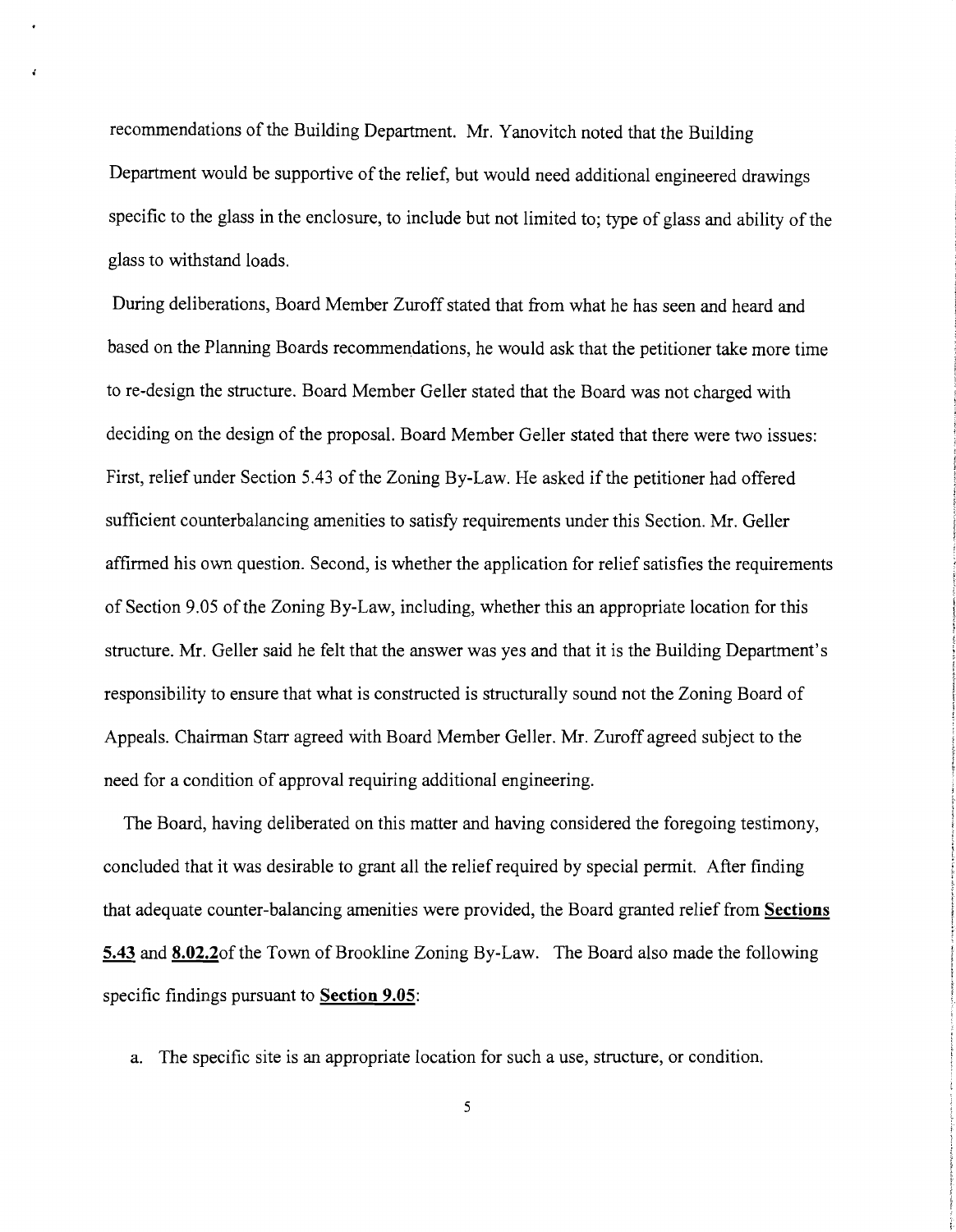recommendations of the Building Department. Mr. Yanovitch noted that the Building Department would be supportive of the relief, but would need additional engineered drawings specific to the glass in the enclosure, to include but not limited to; type of glass and ability of the glass to withstand loads.

During deliberations, Board Member Zuroff stated that from what he has seen and heard and based on the Planning Boards recommendations, he would ask that the petitioner take more time to re-design the structure. Board Member Geller stated that the Board was not charged with deciding on the design of the proposal. Board Member Geller stated that there were two issues: First, relief under Section 5.43 of the Zoning By-Law. He asked if the petitioner had offered sufficient counterbalancing amenities to satisfy requirements under this Section. Mr. Geller affirmed his own question. Second, is whether the application for relief satisfies the requirements of Section 9.05 of the Zoning By-Law, including, whether this an appropriate location for this structure. Mr. Geller said he felt that the answer was yes and that it is the Building Department's responsibility to ensure that what is constructed is structurally sound not the Zoning Board of Appeals. Chairman Starr agreed with Board Member Geller. Mr. Zuroff agreed subject to the need for a condition of approval requiring additional engineering.

The Board, having deliberated on this matter and having considered the foregoing testimony, concluded that it was desirable to grant all the relief required by special permit. After finding that adequate counter-balancing amenities were provided, the Board granted relief from **Sections 5.43** and 8.02.20fthe Town of Brookline Zoning By-Law. The Board also made the following specific findings pursuant to **Section** 9.05:

a. The specific site is an appropriate location for such a use, structure, or condition.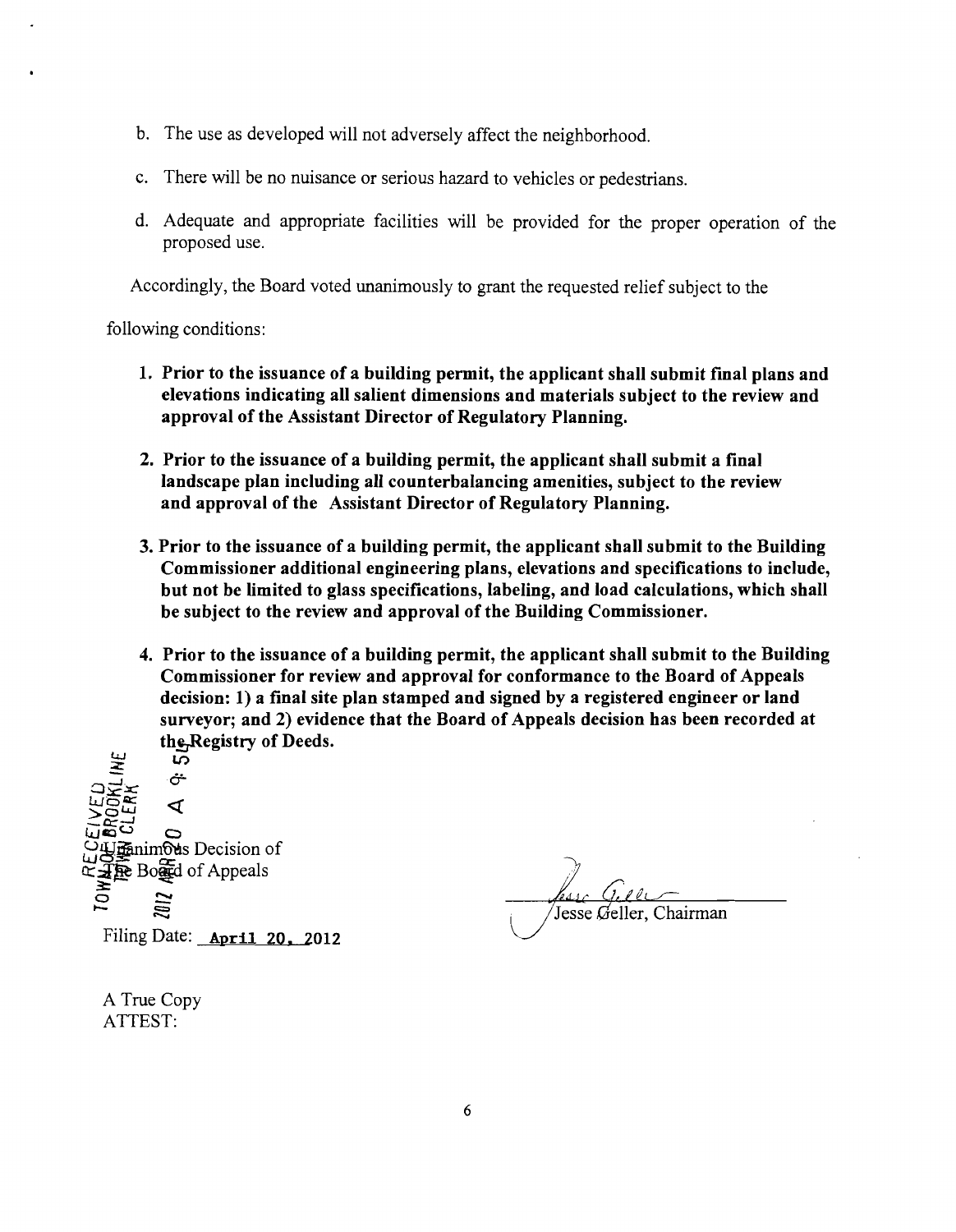- b. The use as developed will not adversely affect the neighborhood.
- c. There will be no nuisance or serious hazard to vehicles or pedestrians.
- d. Adequate and appropriate facilities will be provided for the proper operation of the proposed use.

Accordingly, the Board voted unanimously to grant the requested relief subject to the

following conditions:

- 1. Prior to the issuance of a building permit, the applicant shall submit final plans and elevations indicating all salient dimensions and materials subject to the review and approval of the Assistant Director of Regulatory Planning.
- 2. Prior to the issuance of a building permit, the applicant shall submit a final landscape plan including all counterbalancing amenities, subject to the review and approval of the Assistant Director of Regulatory Planning.
- 3. Prior to the issuance of a building permit, the applicant shall submit to the Building Commissioner additional engineering plans, elevations and specifications to include, but not be limited to glass specifications, labeling, and load calculations, which shall be subject to the review and approval of the Building Commissioner.
- 4. Prior to the issuance of a building permit, the applicant shall submit to the Building Commissioner for review and approval for conformance to the Board of Appeals decision: 1) a final site plan stamped and signed by a registered engineer or land surveyor; and 2) evidence that the Board of Appeals decision has been recorded at the-Registry of Deeds.

 $\overline{5}$ Q-J *(f-* $\blacktriangleleft$  $\sum_{\alpha=1}^{\infty}$  and  $\alpha$  $\bullet$  $\mathbf{F}$ animous Decision of Re Board of Appeals o Example Bogged of Appeals<br>  $\sum_{n=1}^{\infty}$ <br>
Filing Date: **April 20, 2012** 

Jesse Geller, Chairman

A True Copy ATTEST: